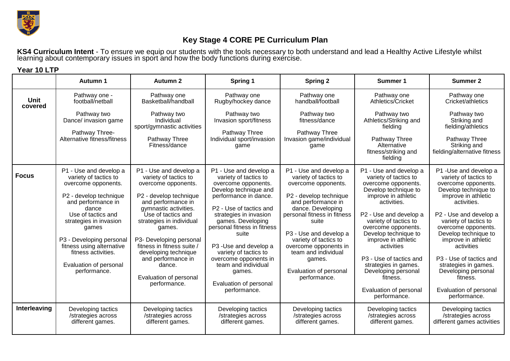

**Year 10 LTP**

## **Key Stage 4 CORE PE Curriculum Plan**

**KS4 Curriculum Intent** - To ensure we equip our students with the tools necessary to both understand and lead a Healthy Active Lifestyle whilst learning about contemporary issues in sport and how the body functions during exercise.

|                        | Autumn 1                                                                                                                                                                                                                                                                                                           | Autumn 2                                                                                                                                                                                                                                                                                                                                                               | Spring 1                                                                                                                                                                                                                                                                                                                                                                                                      | <b>Spring 2</b>                                                                                                                                                                                                                                                                                                                            | Summer 1                                                                                                                                                                                                                                                                                                                                                                                                                | Summer 2                                                                                                                                                                                                                                                                                                                                                                                                   |
|------------------------|--------------------------------------------------------------------------------------------------------------------------------------------------------------------------------------------------------------------------------------------------------------------------------------------------------------------|------------------------------------------------------------------------------------------------------------------------------------------------------------------------------------------------------------------------------------------------------------------------------------------------------------------------------------------------------------------------|---------------------------------------------------------------------------------------------------------------------------------------------------------------------------------------------------------------------------------------------------------------------------------------------------------------------------------------------------------------------------------------------------------------|--------------------------------------------------------------------------------------------------------------------------------------------------------------------------------------------------------------------------------------------------------------------------------------------------------------------------------------------|-------------------------------------------------------------------------------------------------------------------------------------------------------------------------------------------------------------------------------------------------------------------------------------------------------------------------------------------------------------------------------------------------------------------------|------------------------------------------------------------------------------------------------------------------------------------------------------------------------------------------------------------------------------------------------------------------------------------------------------------------------------------------------------------------------------------------------------------|
| <b>Unit</b><br>covered | Pathway one -<br>football/netball                                                                                                                                                                                                                                                                                  | Pathway one<br>Basketball/handball                                                                                                                                                                                                                                                                                                                                     | Pathway one<br>Rugby/hockey dance                                                                                                                                                                                                                                                                                                                                                                             | Pathway one<br>handball/football                                                                                                                                                                                                                                                                                                           | Pathway one<br>Athletics/Cricket                                                                                                                                                                                                                                                                                                                                                                                        | Pathway one<br>Cricket/athletics                                                                                                                                                                                                                                                                                                                                                                           |
|                        | Pathway two<br>Dance/ invasion game<br>Pathway Three-<br>Alternative fitness/fitness                                                                                                                                                                                                                               | Pathway two<br>Individual<br>sport/gymnastic activities<br>Pathway Three<br>Fitness/dance                                                                                                                                                                                                                                                                              | Pathway two<br>Invasion sport/fitness<br>Pathway Three<br>Individual sport/invasion<br>game                                                                                                                                                                                                                                                                                                                   | Pathway two<br>fitness/dance<br>Pathway Three<br>Invasion game/individual<br>game                                                                                                                                                                                                                                                          | Pathway two<br>Athletics/Striking and<br>fielding<br>Pathway Three<br>Alternative<br>fitness/striking and<br>fielding                                                                                                                                                                                                                                                                                                   | Pathway two<br>Striking and<br>fielding/athletics<br>Pathway Three<br>Striking and<br>fielding/alternative fitness                                                                                                                                                                                                                                                                                         |
| <b>Focus</b>           | P1 - Use and develop a<br>variety of tactics to<br>overcome opponents.<br>P2 - develop technique<br>and performance in<br>dance<br>Use of tactics and<br>strategies in invasion<br>games<br>P3 - Developing personal<br>fitness using alternative<br>fitness activities.<br>Evaluation of personal<br>performance. | P1 - Use and develop a<br>variety of tactics to<br>overcome opponents.<br>P2 - develop technique<br>and performance in<br>gymnastic activities.<br>Use of tactics and<br>strategies in individual<br>games.<br>P3- Developing personal<br>fitness in fitness suite /<br>developing technique<br>and performance in<br>dance.<br>Evaluation of personal<br>performance. | P1 - Use and develop a<br>variety of tactics to<br>overcome opponents.<br>Develop technique and<br>performance in dance.<br>P <sub>2</sub> - Use of tactics and<br>strategies in invasion<br>games. Developing<br>personal fitness in fitness<br>suite<br>P3 - Use and develop a<br>variety of tactics to<br>overcome opponents in<br>team and individual<br>games.<br>Evaluation of personal<br>performance. | P1 - Use and develop a<br>variety of tactics to<br>overcome opponents.<br>P2 - develop technique<br>and performance in<br>dance. Developing<br>personal fitness in fitness<br>suite<br>P3 - Use and develop a<br>variety of tactics to<br>overcome opponents in<br>team and individual<br>games.<br>Evaluation of personal<br>performance. | P1 - Use and develop a<br>variety of tactics to<br>overcome opponents.<br>Develop technique to<br>improve in athletic<br>activities.<br>P2 - Use and develop a<br>variety of tactics to<br>overcome opponents.<br>Develop technique to<br>improve in athletic<br>activities<br>P <sub>3</sub> - Use of tactics and<br>strategies in games.<br>Developing personal<br>fitness.<br>Evaluation of personal<br>performance. | P1 -Use and develop a<br>variety of tactics to<br>overcome opponents.<br>Develop technique to<br>improve in athletic<br>activities.<br>P2 - Use and develop a<br>variety of tactics to<br>overcome opponents.<br>Develop technique to<br>improve in athletic<br>activities<br>P3 - Use of tactics and<br>strategies in games.<br>Developing personal<br>fitness.<br>Evaluation of personal<br>performance. |
| Interleaving           | Developing tactics<br>/strategies across<br>different games.                                                                                                                                                                                                                                                       | Developing tactics<br>/strategies across<br>different games.                                                                                                                                                                                                                                                                                                           | Developing tactics<br>/strategies across<br>different games.                                                                                                                                                                                                                                                                                                                                                  | Developing tactics<br>/strategies across<br>different games.                                                                                                                                                                                                                                                                               | Developing tactics<br>/strategies across<br>different games.                                                                                                                                                                                                                                                                                                                                                            | Developing tactics<br>/strategies across<br>different games activities                                                                                                                                                                                                                                                                                                                                     |